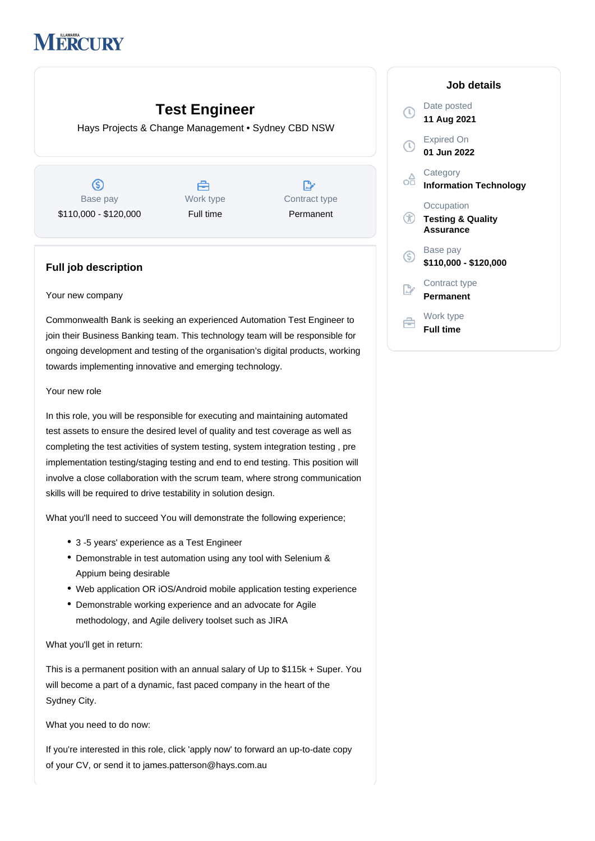# **IERCURY**

# **Test Engineer**

Hays Projects & Change Management • Sydney CBD NSW

 $\circledS$ Base pay \$110,000 - \$120,000

A Work type Full time

 $\mathbb{R}^{\cdot}$ Contract type Permanent

## **Full job description**

#### Your new company

Commonwealth Bank is seeking an experienced Automation Test Engineer to join their Business Banking team. This technology team will be responsible for ongoing development and testing of the organisation's digital products, working towards implementing innovative and emerging technology.

#### Your new role

In this role, you will be responsible for executing and maintaining automated test assets to ensure the desired level of quality and test coverage as well as completing the test activities of system testing, system integration testing , pre implementation testing/staging testing and end to end testing. This position will involve a close collaboration with the scrum team, where strong communication skills will be required to drive testability in solution design.

What you'll need to succeed You will demonstrate the following experience;

- 3 -5 years' experience as a Test Engineer
- Demonstrable in test automation using any tool with Selenium & Appium being desirable
- Web application OR iOS/Android mobile application testing experience
- Demonstrable working experience and an advocate for Agile methodology, and Agile delivery toolset such as JIRA

What you'll get in return:

This is a permanent position with an annual salary of Up to \$115k + Super. You will become a part of a dynamic, fast paced company in the heart of the Sydney City.

What you need to do now:

If you're interested in this role, click 'apply now' to forward an up-to-date copy of your CV, or send it to james.patterson@hays.com.au

### **Job details** Date posted  $\bigcirc$ **11 Aug 2021** Expired On **01 Jun 2022 Category** oâ **Information Technology Occupation Testing & Quality Assurance** Base pay  $\circ$ **\$110,000 - \$120,000** Contract type **Permanent** Work type Ê **Full time**